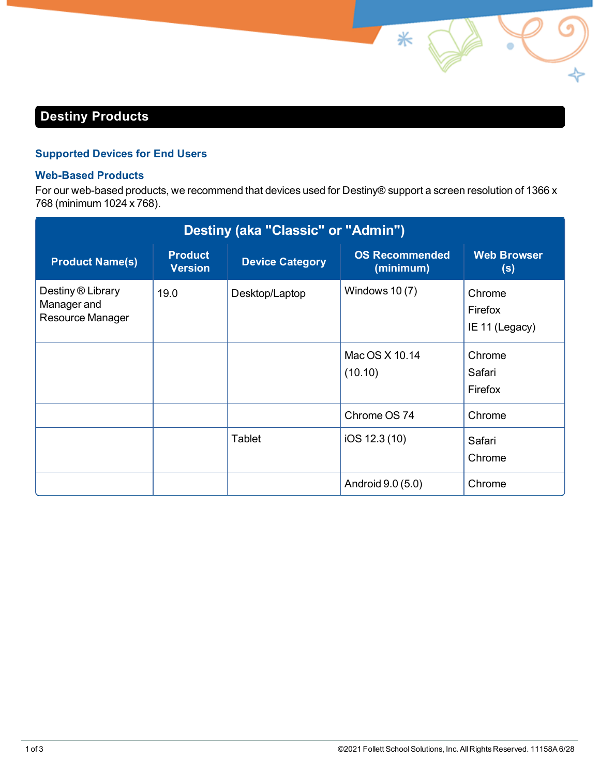## **Destiny Products**

## **Supported Devices for End Users**

## **Web-Based Products**

For our web-based products, we recommend that devices used for Destiny® support a screen resolution of 1366 x 768 (minimum 1024 x 768).

⋇

| Destiny (aka "Classic" or "Admin")                   |                                  |                        |                                    |                                     |  |  |  |  |
|------------------------------------------------------|----------------------------------|------------------------|------------------------------------|-------------------------------------|--|--|--|--|
| <b>Product Name(s)</b>                               | <b>Product</b><br><b>Version</b> | <b>Device Category</b> | <b>OS Recommended</b><br>(minimum) | <b>Web Browser</b><br>(s)           |  |  |  |  |
| Destiny ® Library<br>Manager and<br>Resource Manager | 19.0                             | Desktop/Laptop         | Windows $10(7)$                    | Chrome<br>Firefox<br>IE 11 (Legacy) |  |  |  |  |
|                                                      |                                  |                        | Mac OS X 10.14<br>(10.10)          | Chrome<br>Safari<br>Firefox         |  |  |  |  |
|                                                      |                                  |                        | Chrome OS 74                       | Chrome                              |  |  |  |  |
|                                                      |                                  | Tablet                 | iOS 12.3 (10)                      | Safari<br>Chrome                    |  |  |  |  |
|                                                      |                                  |                        | Android 9.0 (5.0)                  | Chrome                              |  |  |  |  |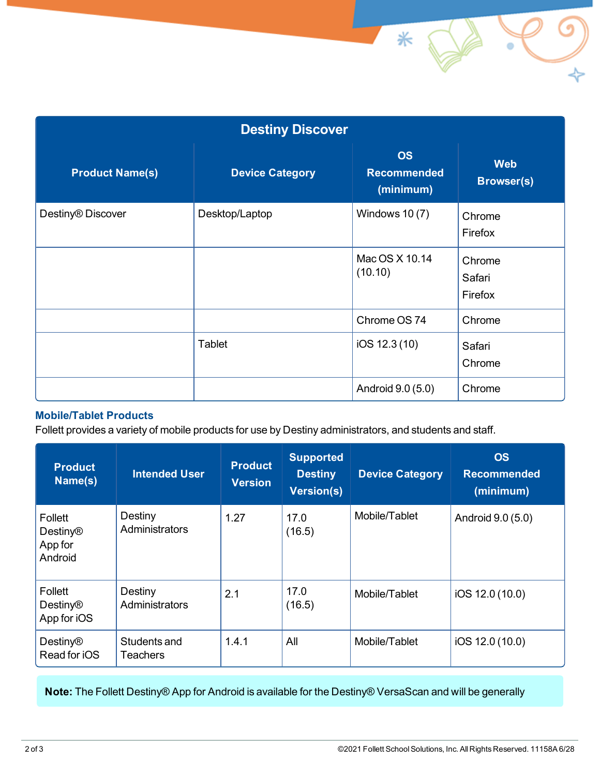| <b>Destiny Discover</b> |                        |                                              |                                 |  |  |  |  |
|-------------------------|------------------------|----------------------------------------------|---------------------------------|--|--|--|--|
| <b>Product Name(s)</b>  | <b>Device Category</b> | <b>OS</b><br><b>Recommended</b><br>(minimum) | <b>Web</b><br><b>Browser(s)</b> |  |  |  |  |
| Destiny® Discover       | Desktop/Laptop         | Windows $10(7)$                              | Chrome<br>Firefox               |  |  |  |  |
|                         |                        | Mac OS X 10.14<br>(10.10)                    | Chrome<br>Safari<br>Firefox     |  |  |  |  |
|                         |                        | Chrome OS 74                                 | Chrome                          |  |  |  |  |
|                         | Tablet                 | iOS 12.3 (10)                                | Safari<br>Chrome                |  |  |  |  |
|                         |                        | Android 9.0 (5.0)                            | Chrome                          |  |  |  |  |

## **Mobile/Tablet Products**

Follett provides a variety of mobile products for use by Destiny administrators, and students and staff.

| <b>Product</b><br>Name(s)                        | <b>Intended User</b>            | <b>Product</b><br><b>Version</b> | <b>Supported</b><br><b>Destiny</b><br>Version(s) | <b>Device Category</b> | <b>OS</b><br><b>Recommended</b><br>(minimum) |
|--------------------------------------------------|---------------------------------|----------------------------------|--------------------------------------------------|------------------------|----------------------------------------------|
| Follett<br><b>Destiny®</b><br>App for<br>Android | Destiny<br>Administrators       | 1.27                             | 17.0<br>(16.5)                                   | Mobile/Tablet          | Android 9.0 (5.0)                            |
| Follett<br><b>Destiny®</b><br>App for iOS        | Destiny<br>Administrators       | 2.1                              | 17.0<br>(16.5)                                   | Mobile/Tablet          | iOS 12.0 (10.0)                              |
| <b>Destiny®</b><br>Read for iOS                  | Students and<br><b>Teachers</b> | 1.4.1                            | All                                              | Mobile/Tablet          | iOS 12.0 (10.0)                              |

**Note:** The Follett Destiny® App for Android is available for the Destiny® VersaScan and will be generally

 $\checkmark$ 

 $*$